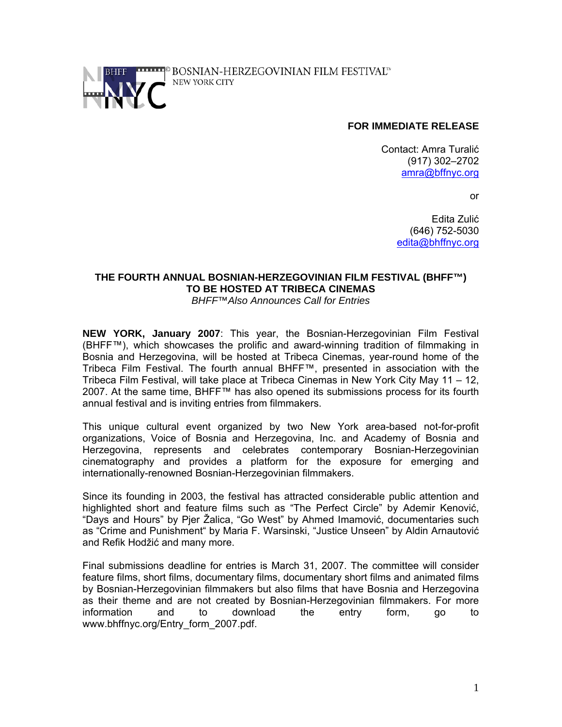

### **FOR IMMEDIATE RELEASE**

Contact: Amra Turalić (917) 302–2702 amra@bffnyc.org

or

Edita Zulić (646) 752-5030 edita@bhffnyc.org

# **THE FOURTH ANNUAL BOSNIAN-HERZEGOVINIAN FILM FESTIVAL (BHFF™) TO BE HOSTED AT TRIBECA CINEMAS**

*BHFF™Also Announces Call for Entries* 

**NEW YORK, January 2007**: This year, the Bosnian-Herzegovinian Film Festival (BHFF™), which showcases the prolific and award-winning tradition of filmmaking in Bosnia and Herzegovina, will be hosted at Tribeca Cinemas, year-round home of the Tribeca Film Festival. The fourth annual BHFF™, presented in association with the Tribeca Film Festival, will take place at Tribeca Cinemas in New York City May 11 – 12, 2007. At the same time, BHFF™ has also opened its submissions process for its fourth annual festival and is inviting entries from filmmakers.

This unique cultural event organized by two New York area-based not-for-profit organizations, Voice of Bosnia and Herzegovina, Inc. and Academy of Bosnia and Herzegovina, represents and celebrates contemporary Bosnian-Herzegovinian cinematography and provides a platform for the exposure for emerging and internationally-renowned Bosnian-Herzegovinian filmmakers.

Since its founding in 2003, the festival has attracted considerable public attention and highlighted short and feature films such as "The Perfect Circle" by Ademir Kenović, "Days and Hours" by Pjer Žalica, "Go West" by Ahmed Imamović, documentaries such as "Crime and Punishment" by Maria F. Warsinski, "Justice Unseen" by Aldin Arnautović and Refik Hodžić and many more.

Final submissions deadline for entries is March 31, 2007. The committee will consider feature films, short films, documentary films, documentary short films and animated films by Bosnian-Herzegovinian filmmakers but also films that have Bosnia and Herzegovina as their theme and are not created by Bosnian-Herzegovinian filmmakers. For more information and to download the entry form, go to www.bhffnyc.org/Entry\_form\_2007.pdf.